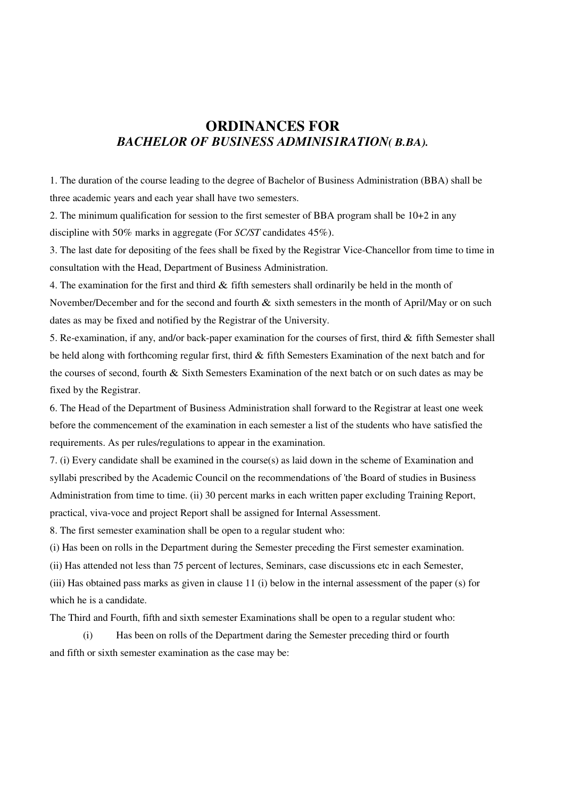## **ORDINANCES FOR**  *BACHELOR OF BUSINESS ADMINIS1RATION( B.BA).*

1. The duration of the course leading to the degree of Bachelor of Business Administration (BBA) shall be three academic years and each year shall have two semesters.

2. The minimum qualification for session to the first semester of BBA program shall be 10+2 in any discipline with 50% marks in aggregate (For *SC/ST* candidates 45%).

3. The last date for depositing of the fees shall be fixed by the Registrar Vice-Chancellor from time to time in consultation with the Head, Department of Business Administration.

4. The examination for the first and third & fifth semesters shall ordinarily be held in the month of November/December and for the second and fourth  $\&$  sixth semesters in the month of April/May or on such dates as may be fixed and notified by the Registrar of the University.

5. Re-examination, if any, and/or back-paper examination for the courses of first, third & fifth Semester shall be held along with forthcoming regular first, third & fifth Semesters Examination of the next batch and for the courses of second, fourth & Sixth Semesters Examination of the next batch or on such dates as may be fixed by the Registrar.

6. The Head of the Department of Business Administration shall forward to the Registrar at least one week before the commencement of the examination in each semester a list of the students who have satisfied the requirements. As per rules/regulations to appear in the examination.

7. (i) Every candidate shall be examined in the course(s) as laid down in the scheme of Examination and syllabi prescribed by the Academic Council on the recommendations of 'the Board of studies in Business Administration from time to time. (ii) 30 percent marks in each written paper excluding Training Report, practical, viva-voce and project Report shall be assigned for Internal Assessment.

8. The first semester examination shall be open to a regular student who:

(i) Has been on rolls in the Department during the Semester preceding the First semester examination.

(ii) Has attended not less than 75 percent of lectures, Seminars, case discussions etc in each Semester,

(iii) Has obtained pass marks as given in clause 11 (i) below in the internal assessment of the paper (s) for which he is a candidate.

The Third and Fourth, fifth and sixth semester Examinations shall be open to a regular student who:

 (i) Has been on rolls of the Department daring the Semester preceding third or fourth and fifth or sixth semester examination as the case may be: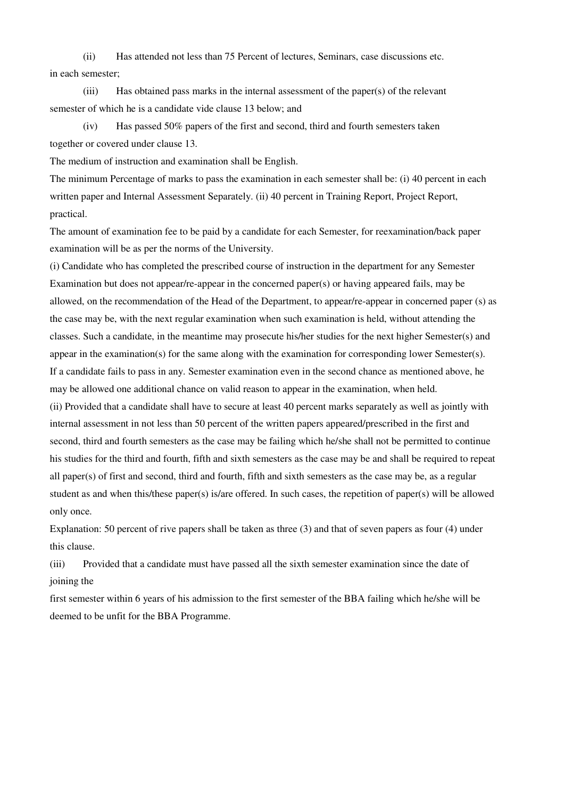(ii) Has attended not less than 75 Percent of lectures, Seminars, case discussions etc. in each semester;

 (iii) Has obtained pass marks in the internal assessment of the paper(s) of the relevant semester of which he is a candidate vide clause 13 below; and

 (iv) Has passed 50% papers of the first and second, third and fourth semesters taken together or covered under clause 13.

The medium of instruction and examination shall be English.

The minimum Percentage of marks to pass the examination in each semester shall be: (i) 40 percent in each written paper and Internal Assessment Separately. (ii) 40 percent in Training Report, Project Report, practical.

The amount of examination fee to be paid by a candidate for each Semester, for reexamination/back paper examination will be as per the norms of the University.

(i) Candidate who has completed the prescribed course of instruction in the department for any Semester Examination but does not appear/re-appear in the concerned paper(s) or having appeared fails, may be allowed, on the recommendation of the Head of the Department, to appear/re-appear in concerned paper (s) as the case may be, with the next regular examination when such examination is held, without attending the classes. Such a candidate, in the meantime may prosecute his/her studies for the next higher Semester(s) and appear in the examination(s) for the same along with the examination for corresponding lower Semester(s). If a candidate fails to pass in any. Semester examination even in the second chance as mentioned above, he may be allowed one additional chance on valid reason to appear in the examination, when held. (ii) Provided that a candidate shall have to secure at least 40 percent marks separately as well as jointly with internal assessment in not less than 50 percent of the written papers appeared/prescribed in the first and second, third and fourth semesters as the case may be failing which he/she shall not be permitted to continue his studies for the third and fourth, fifth and sixth semesters as the case may be and shall be required to repeat all paper(s) of first and second, third and fourth, fifth and sixth semesters as the case may be, as a regular student as and when this/these paper(s) is/are offered. In such cases, the repetition of paper(s) will be allowed only once.

Explanation: 50 percent of rive papers shall be taken as three (3) and that of seven papers as four (4) under this clause.

(iii) Provided that a candidate must have passed all the sixth semester examination since the date of joining the

first semester within 6 years of his admission to the first semester of the BBA failing which he/she will be deemed to be unfit for the BBA Programme.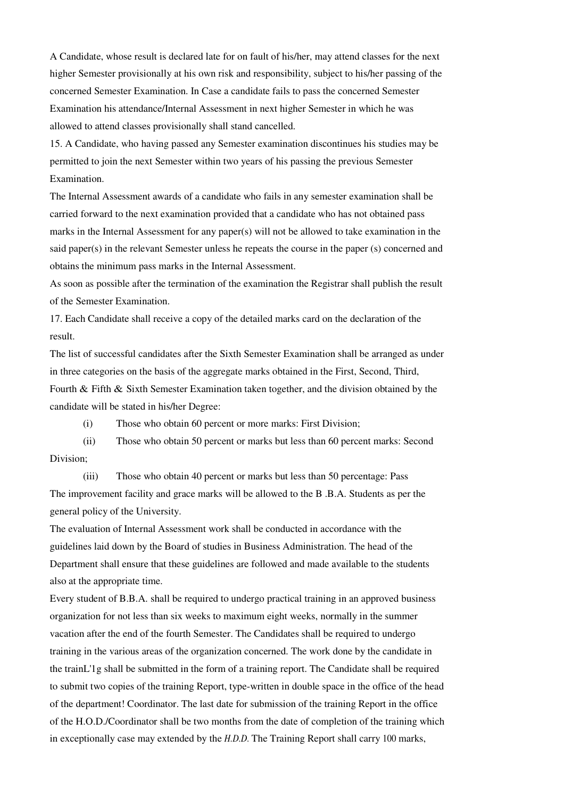A Candidate, whose result is declared late for on fault of his/her, may attend classes for the next higher Semester provisionally at his own risk and responsibility, subject to his/her passing of the concerned Semester Examination. In Case a candidate fails to pass the concerned Semester Examination his attendance/Internal Assessment in next higher Semester in which he was allowed to attend classes provisionally shall stand cancelled.

15. A Candidate, who having passed any Semester examination discontinues his studies may be permitted to join the next Semester within two years of his passing the previous Semester Examination.

The Internal Assessment awards of a candidate who fails in any semester examination shall be carried forward to the next examination provided that a candidate who has not obtained pass marks in the Internal Assessment for any paper(s) will not be allowed to take examination in the said paper(s) in the relevant Semester unless he repeats the course in the paper (s) concerned and obtains the minimum pass marks in the Internal Assessment.

As soon as possible after the termination of the examination the Registrar shall publish the result of the Semester Examination.

17. Each Candidate shall receive a copy of the detailed marks card on the declaration of the result.

The list of successful candidates after the Sixth Semester Examination shall be arranged as under in three categories on the basis of the aggregate marks obtained in the First, Second, Third, Fourth & Fifth & Sixth Semester Examination taken together, and the division obtained by the

candidate will be stated in his/her Degree:

(i) Those who obtain 60 percent or more marks: First Division;

 (ii) Those who obtain 50 percent or marks but less than 60 percent marks: Second Division;

 (iii) Those who obtain 40 percent or marks but less than 50 percentage: Pass The improvement facility and grace marks will be allowed to the B .B.A. Students as per the general policy of the University.

The evaluation of Internal Assessment work shall be conducted in accordance with the guidelines laid down by the Board of studies in Business Administration. The head of the Department shall ensure that these guidelines are followed and made available to the students also at the appropriate time.

Every student of B.B.A. shall be required to undergo practical training in an approved business organization for not less than six weeks to maximum eight weeks, normally in the summer vacation after the end of the fourth Semester. The Candidates shall be required to undergo training in the various areas of the organization concerned. The work done by the candidate in the trainL'1g shall be submitted in the form of a training report. The Candidate shall be required to submit two copies of the training Report, type-written in double space in the office of the head of the department! Coordinator. The last date for submission of the training Report in the office of the H.O.D./Coordinator shall be two months from the date of completion of the training which in exceptionally case may extended by the *H.D.D.* The Training Report shall carry 100 marks,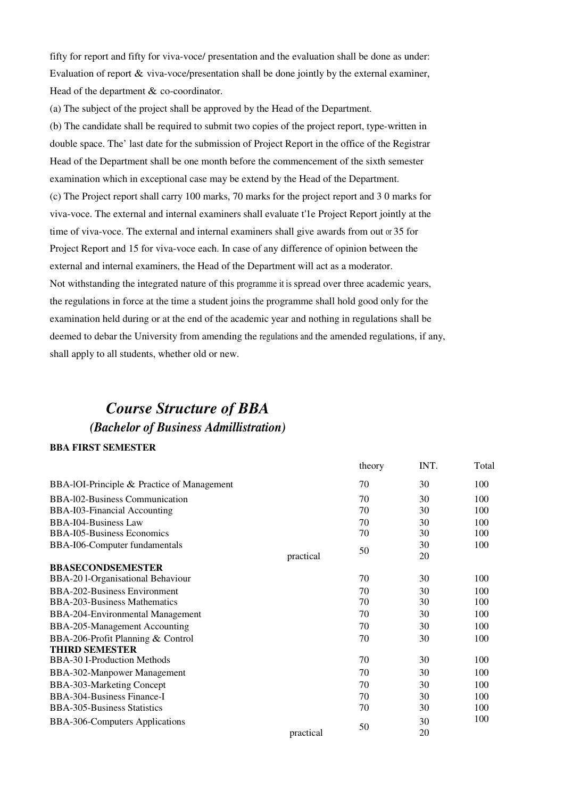fifty for report and fifty for viva-voce/ presentation and the evaluation shall be done as under: Evaluation of report & viva-voce/presentation shall be done jointly by the external examiner, Head of the department & co-coordinator.

(a) The subject of the project shall be approved by the Head of the Department.

(b) The candidate shall be required to submit two copies of the project report, type-written in double space. The' last date for the submission of Project Report in the office of the Registrar Head of the Department shall be one month before the commencement of the sixth semester examination which in exceptional case may be extend by the Head of the Department. (c) The Project report shall carry 100 marks, 70 marks for the project report and 3 0 marks for viva-voce. The external and internal examiners shall evaluate t'1e Project Report jointly at the time of viva-voce. The external and internal examiners shall give awards from out or 35 for Project Report and 15 for viva-voce each. In case of any difference of opinion between the external and internal examiners, the Head of the Department will act as a moderator. Not withstanding the integrated nature of this programme it is spread over three academic years, the regulations in force at the time a student joins the programme shall hold good only for the examination held during or at the end of the academic year and nothing in regulations shall be deemed to debar the University from amending the regulations and the amended regulations, if any,

shall apply to all students, whether old or new.

## *Course Structure of BBA (Bachelor of Business Admillistration)*

## **BBA FIRST SEMESTER**

|                                               |           | theory | INT. | Total |
|-----------------------------------------------|-----------|--------|------|-------|
| BBA-IOI-Principle $\&$ Practice of Management |           | 70     | 30   | 100   |
| BBA-102-Business Communication                |           | 70     | 30   | 100   |
| BBA-I03-Financial Accounting                  |           | 70     | 30   | 100   |
| <b>BBA-I04-Business Law</b>                   |           | 70     | 30   | 100   |
| <b>BBA-I05-Business Economics</b>             |           | 70     | 30   | 100   |
| BBA-I06-Computer fundamentals                 |           | 50     | 30   | 100   |
|                                               | practical |        | 20   |       |
| <b>BBASECONDSEMESTER</b>                      |           |        |      |       |
| BBA-201-Organisational Behaviour              |           | 70     | 30   | 100   |
| BBA-202-Business Environment                  |           | 70     | 30   | 100   |
| <b>BBA-203-Business Mathematics</b>           |           | 70     | 30   | 100   |
| BBA-204-Environmental Management              |           | 70     | 30   | 100   |
| BBA-205-Management Accounting                 |           | 70     | 30   | 100   |
| BBA-206-Profit Planning & Control             |           | 70     | 30   | 100   |
| <b>THIRD SEMESTER</b>                         |           |        |      |       |
| <b>BBA-30 I-Production Methods</b>            |           | 70     | 30   | 100   |
| BBA-302-Manpower Management                   |           | 70     | 30   | 100   |
| BBA-303-Marketing Concept                     |           | 70     | 30   | 100   |
| BBA-304-Business Finance-I                    |           | 70     | 30   | 100   |
| <b>BBA-305-Business Statistics</b>            |           | 70     | 30   | 100   |
| BBA-306-Computers Applications                |           | 50     | 30   | 100   |
|                                               | practical |        | 20   |       |